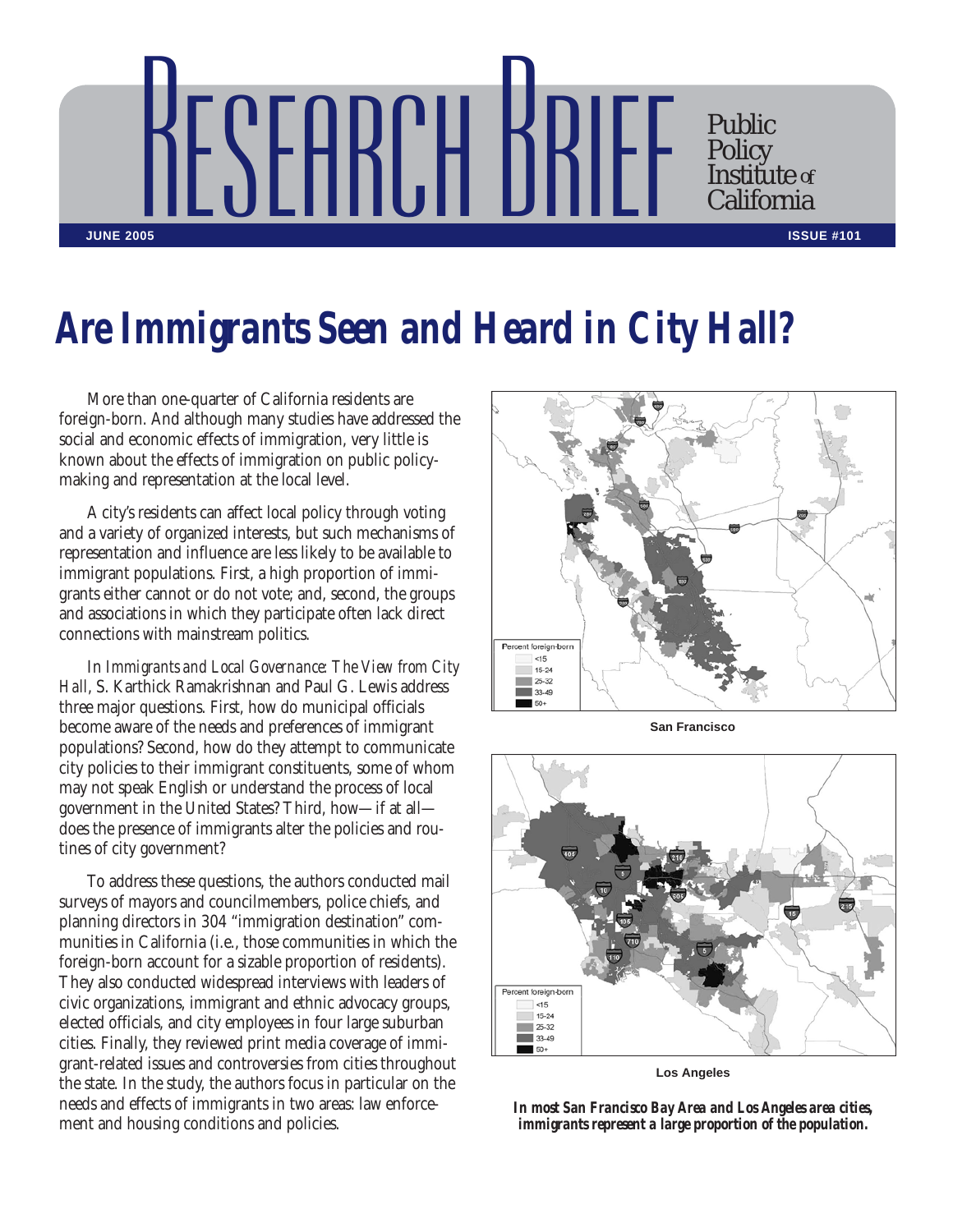

## *Are Immigrants Seen and Heard in City Hall?*

More than one-quarter of California residents are foreign-born. And although many studies have addressed the social and economic effects of immigration, very little is known about the effects of immigration on public policymaking and representation at the local level.

A city's residents can affect local policy through voting and a variety of organized interests, but such mechanisms of representation and influence are less likely to be available to immigrant populations. First, a high proportion of immigrants either cannot or do not vote; and, second, the groups and associations in which they participate often lack direct connections with mainstream politics.

In *Immigrants and Local Governance: The View from City Hall*, S. Karthick Ramakrishnan and Paul G. Lewis address three major questions. First, how do municipal officials become aware of the needs and preferences of immigrant populations? Second, how do they attempt to communicate city policies to their immigrant constituents, some of whom may not speak English or understand the process of local government in the United States? Third, how—if at all does the presence of immigrants alter the policies and routines of city government?

To address these questions, the authors conducted mail surveys of mayors and councilmembers, police chiefs, and planning directors in 304 "immigration destination" communities in California (i.e., those communities in which the foreign-born account for a sizable proportion of residents). They also conducted widespread interviews with leaders of civic organizations, immigrant and ethnic advocacy groups, elected officials, and city employees in four large suburban cities. Finally, they reviewed print media coverage of immigrant-related issues and controversies from cities throughout the state. In the study, the authors focus in particular on the needs and effects of immigrants in two areas: law enforcement and housing conditions and policies.



**San Francisco**



**Los Angeles**

*In most San Francisco Bay Area and Los Angeles area cities, immigrants represent a large proportion of the population.*